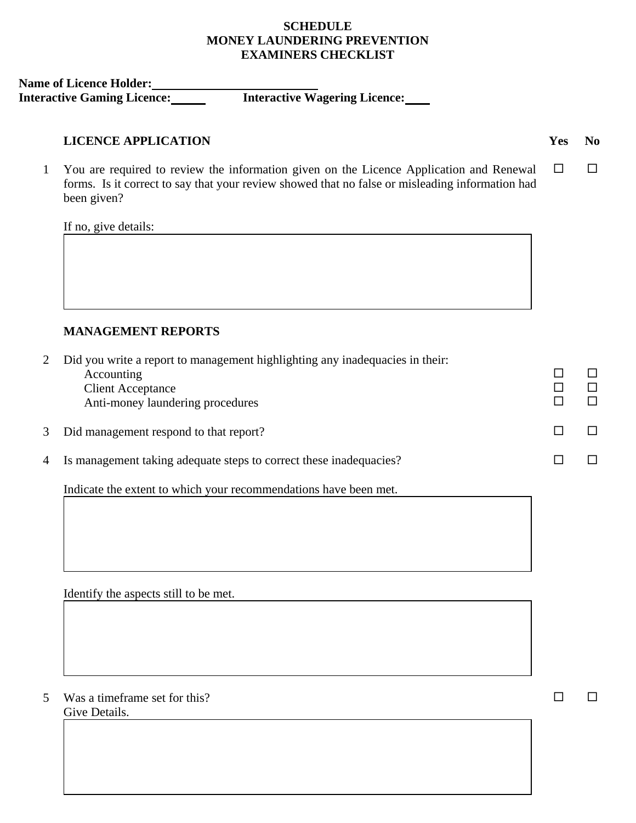# **SCHEDULE MONEY LAUNDERING PREVENTION EXAMINERS CHECKLIST**

**Name of Licence Holder:** 

**Interactive Gaming Licence: Interactive Wagering Licence:** 

#### **LICENCE APPLICATION Yes No**

1 You are required to review the information given on the Licence Application and Renewal  $\Box$   $\Box$ forms. Is it correct to say that your review showed that no false or misleading information had been given?

If no, give details:

# **MANAGEMENT REPORTS**

|   | Did you write a report to management highlighting any inadequacies in their:<br>Accounting<br><b>Client Acceptance</b> |  |
|---|------------------------------------------------------------------------------------------------------------------------|--|
|   | Anti-money laundering procedures                                                                                       |  |
| 3 | Did management respond to that report?                                                                                 |  |
| 4 | Is management taking adequate steps to correct these inadequacies?                                                     |  |
|   |                                                                                                                        |  |

Indicate the extent to which your recommendations have been met.

Identify the aspects still to be met.

5 Was a timeframe set for this?  $\square$ Give Details.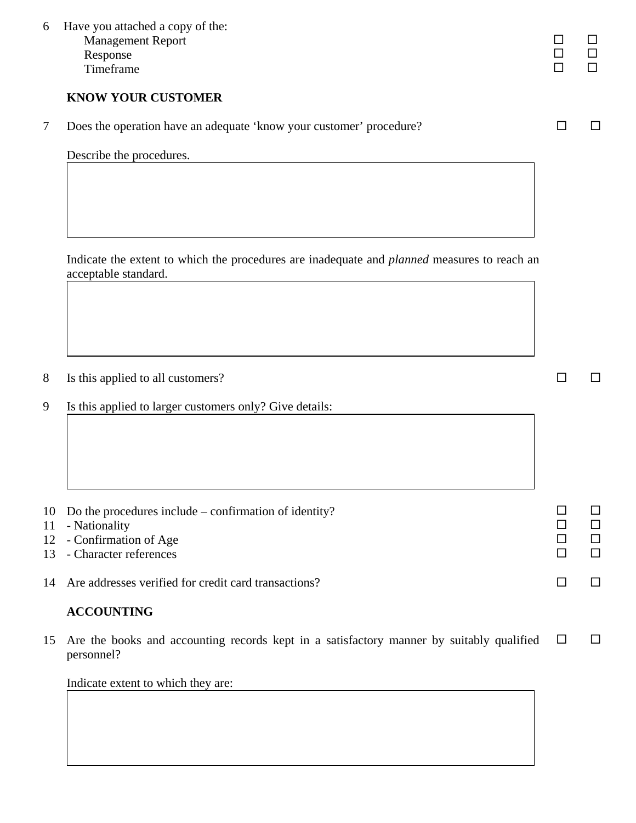| 6        | Have you attached a copy of the:<br><b>Management Report</b><br>Response<br>Timeframe                                      |               | П           |
|----------|----------------------------------------------------------------------------------------------------------------------------|---------------|-------------|
|          | <b>KNOW YOUR CUSTOMER</b>                                                                                                  |               |             |
| 7        | Does the operation have an adequate 'know your customer' procedure?                                                        | $\Box$        | $\Box$      |
|          | Describe the procedures.                                                                                                   |               |             |
|          |                                                                                                                            |               |             |
|          | Indicate the extent to which the procedures are inadequate and <i>planned</i> measures to reach an<br>acceptable standard. |               |             |
|          |                                                                                                                            |               |             |
| 8        | Is this applied to all customers?                                                                                          | ΙI            | $\Box$      |
| 9        | Is this applied to larger customers only? Give details:                                                                    |               |             |
|          |                                                                                                                            |               |             |
| 10<br>11 | Do the procedures include $-$ confirmation of identity?<br>- Nationality                                                   | $\sqcup$<br>□ | □<br>□      |
| 12<br>13 | - Confirmation of Age<br>- Character references                                                                            | □<br>$\Box$   | □<br>$\Box$ |
| 14       | Are addresses verified for credit card transactions?                                                                       | □             | □           |
|          | <b>ACCOUNTING</b>                                                                                                          |               |             |
| 15       | Are the books and accounting records kept in a satisfactory manner by suitably qualified<br>personnel?                     | $\Box$        | $\Box$      |

Indicate extent to which they are: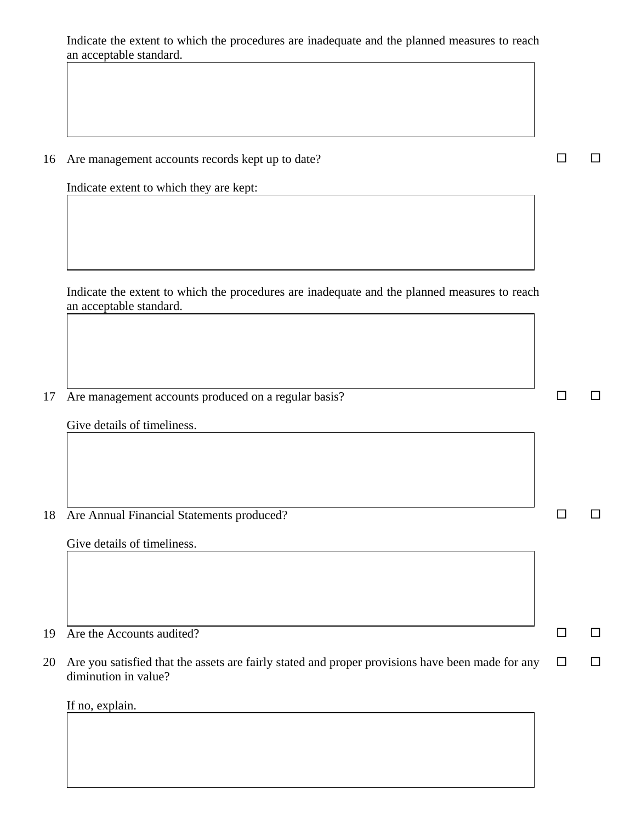Indicate the extent to which the procedures are inadequate and the planned measures to reach an acceptable standard.

| 16 Are management accounts records kept up to date? | $\Box$ $\Box$ |  |
|-----------------------------------------------------|---------------|--|
|                                                     |               |  |

Indicate extent to which they are kept:

Indicate the extent to which the procedures are inadequate and the planned measures to reach an acceptable standard.

17 Are management accounts produced on a regular basis?  $\square$ 

Give details of timeliness.

18 Are Annual Financial Statements produced?

Give details of timeliness.

19 Are the Accounts audited?  $\square$ 

20 Are you satisfied that the assets are fairly stated and proper provisions have been made for any  $\square$ diminution in value?

If no, explain.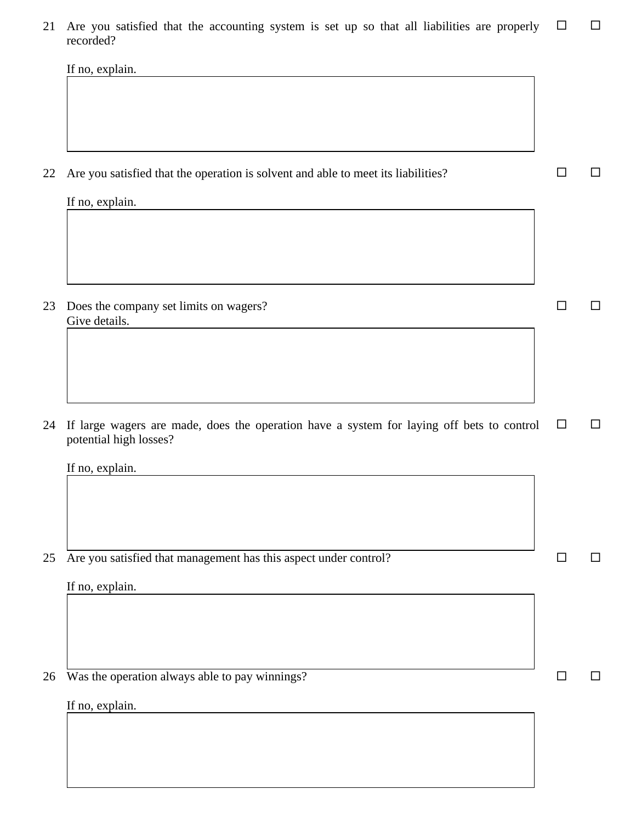21 Are you satisfied that the accounting system is set up so that all liabilities are properly  $\Box$   $\Box$ recorded?

|    | If no, explain.                                                                           |        |        |
|----|-------------------------------------------------------------------------------------------|--------|--------|
|    |                                                                                           |        |        |
|    |                                                                                           |        |        |
|    |                                                                                           |        |        |
|    |                                                                                           |        |        |
| 22 | Are you satisfied that the operation is solvent and able to meet its liabilities?         | ΙI     | ப      |
|    | If no, explain.                                                                           |        |        |
|    |                                                                                           |        |        |
|    |                                                                                           |        |        |
|    |                                                                                           |        |        |
|    |                                                                                           |        |        |
| 23 | Does the company set limits on wagers?<br>Give details.                                   | П      | $\Box$ |
|    |                                                                                           |        |        |
|    |                                                                                           |        |        |
|    |                                                                                           |        |        |
|    |                                                                                           |        |        |
| 24 | If large wagers are made, does the operation have a system for laying off bets to control | $\Box$ | □      |
|    | potential high losses?                                                                    |        |        |
|    | If no, explain.                                                                           |        |        |
|    |                                                                                           |        |        |
|    |                                                                                           |        |        |
|    |                                                                                           |        |        |
| 25 | Are you satisfied that management has this aspect under control?                          | П      | ப      |
|    | If no, explain.                                                                           |        |        |
|    |                                                                                           |        |        |
|    |                                                                                           |        |        |
|    |                                                                                           |        |        |
| 26 | Was the operation always able to pay winnings?                                            |        | $\Box$ |
|    |                                                                                           |        |        |
|    | If no. explain.                                                                           |        |        |

If no, explain.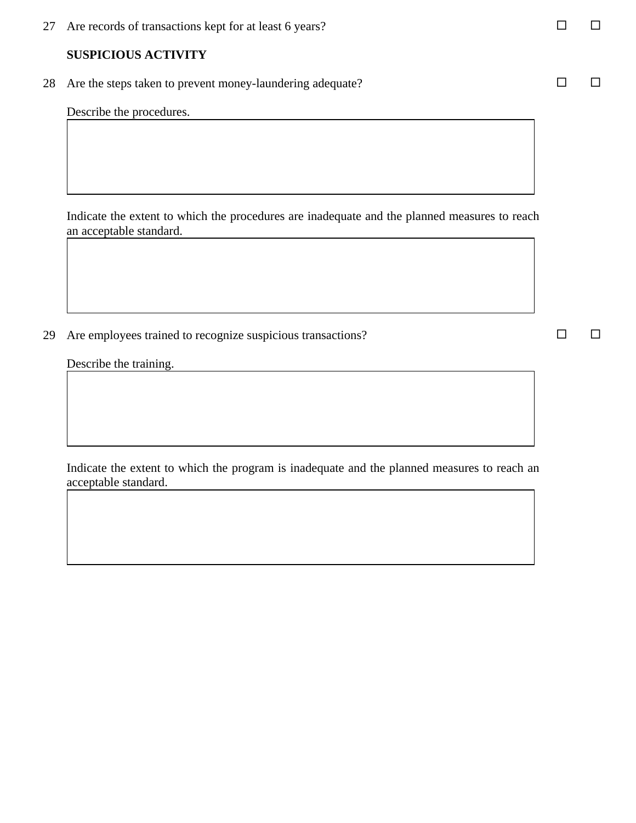27 Are records of transactions kept for at least 6 years?  $\Box$   $\Box$ 

### **SUSPICIOUS ACTIVITY**

28 Are the steps taken to prevent money-laundering adequate?

Describe the procedures.

Indicate the extent to which the procedures are inadequate and the planned measures to reach an acceptable standard.

29 Are employees trained to recognize suspicious transactions?  $\square$ 

Describe the training.

Indicate the extent to which the program is inadequate and the planned measures to reach an acceptable standard.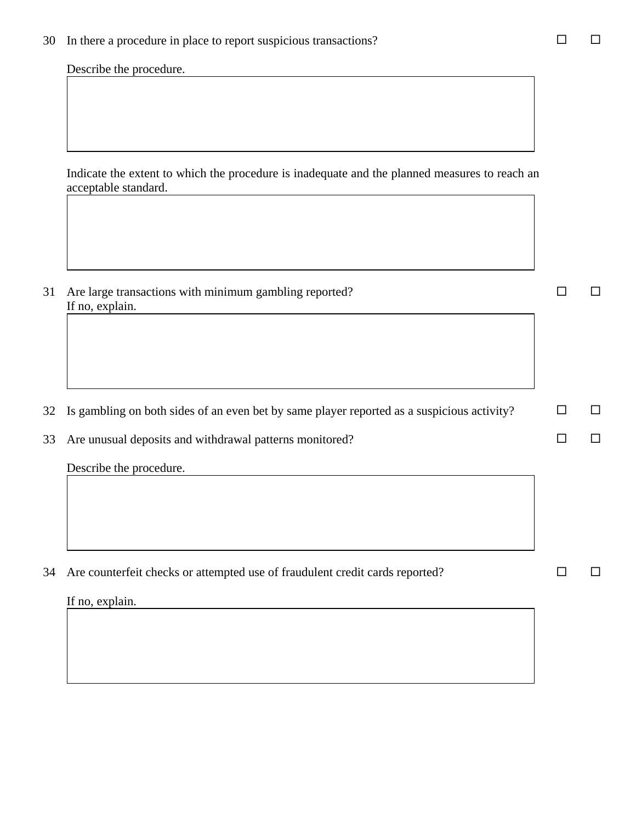30 In there a procedure in place to report suspicious transactions?  $\Box$   $\Box$ 

Describe the procedure.

Indicate the extent to which the procedure is inadequate and the planned measures to reach an acceptable standard.

| 31 | Are large transactions with minimum gambling reported?                                     |              |  |
|----|--------------------------------------------------------------------------------------------|--------------|--|
|    | If no, explain.                                                                            |              |  |
| 32 | Is gambling on both sides of an even bet by same player reported as a suspicious activity? | $\mathsf{L}$ |  |
| 33 | Are unusual deposits and withdrawal patterns monitored?                                    |              |  |
|    | Describe the procedure.                                                                    |              |  |
| 34 | Are counterfeit checks or attempted use of fraudulent credit cards reported?               |              |  |
|    | If no, explain.                                                                            |              |  |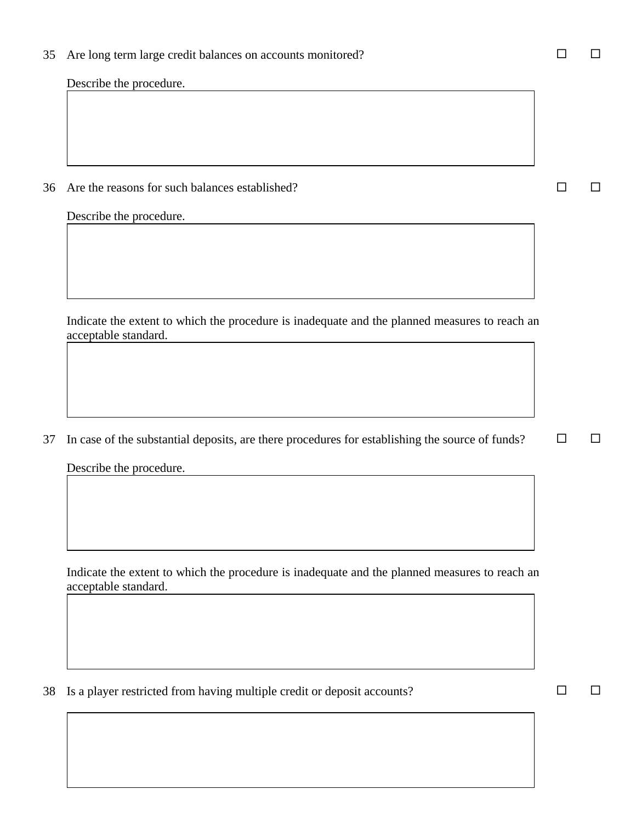35 Are long term large credit balances on accounts monitored?  $\square$ 

Describe the procedure.

36 Are the reasons for such balances established?  $\square$ 

Describe the procedure.

Indicate the extent to which the procedure is inadequate and the planned measures to reach an acceptable standard.

37 In case of the substantial deposits, are there procedures for establishing the source of funds?  $\square$ 

Describe the procedure.

Indicate the extent to which the procedure is inadequate and the planned measures to reach an acceptable standard.

38 Is a player restricted from having multiple credit or deposit accounts?  $\square$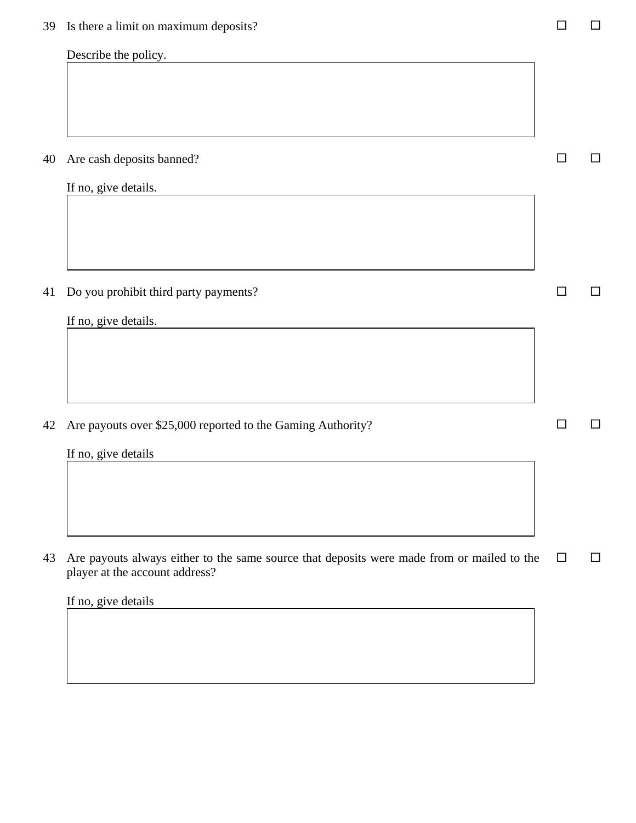| IJ | is there a mint on maximum deposits:                                                                                         |    | ᆸ      |
|----|------------------------------------------------------------------------------------------------------------------------------|----|--------|
|    | Describe the policy.                                                                                                         |    |        |
|    |                                                                                                                              |    |        |
|    |                                                                                                                              |    |        |
|    |                                                                                                                              |    |        |
| 40 | Are cash deposits banned?                                                                                                    | П  | □      |
|    | If no, give details.                                                                                                         |    |        |
|    |                                                                                                                              |    |        |
|    |                                                                                                                              |    |        |
|    |                                                                                                                              |    |        |
| 41 | Do you prohibit third party payments?                                                                                        | ΙI | □      |
|    | If no, give details.                                                                                                         |    |        |
|    |                                                                                                                              |    |        |
|    |                                                                                                                              |    |        |
|    |                                                                                                                              |    |        |
| 42 | Are payouts over \$25,000 reported to the Gaming Authority?                                                                  | □  | $\Box$ |
|    | If no, give details                                                                                                          |    |        |
|    |                                                                                                                              |    |        |
|    |                                                                                                                              |    |        |
|    |                                                                                                                              |    |        |
| 43 | Are payouts always either to the same source that deposits were made from or mailed to the<br>player at the account address? | □  | $\Box$ |
|    | If no, give details                                                                                                          |    |        |
|    |                                                                                                                              |    |        |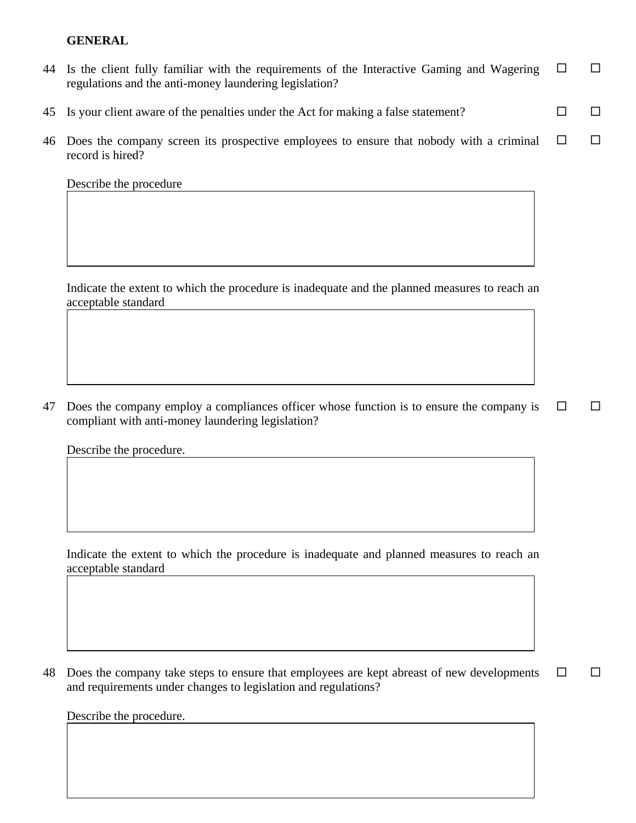# **GENERAL**

| 44 Is the client fully familiar with the requirements of the Interactive Gaming and Wagering $\Box$ |  |
|-----------------------------------------------------------------------------------------------------|--|
| regulations and the anti-money laundering legislation?                                              |  |

- 45 Is your client aware of the penalties under the Act for making a false statement?  $\square$
- 46 Does the company screen its prospective employees to ensure that nobody with a criminal  $\Box$   $\Box$ record is hired?

Describe the procedure

Indicate the extent to which the procedure is inadequate and the planned measures to reach an acceptable standard

47 Does the company employ a compliances officer whose function is to ensure the company is  $\Box$   $\Box$ compliant with anti-money laundering legislation?

Describe the procedure.

Indicate the extent to which the procedure is inadequate and planned measures to reach an acceptable standard

48 Does the company take steps to ensure that employees are kept abreast of new developments  $\Box$   $\Box$ and requirements under changes to legislation and regulations?

Describe the procedure.